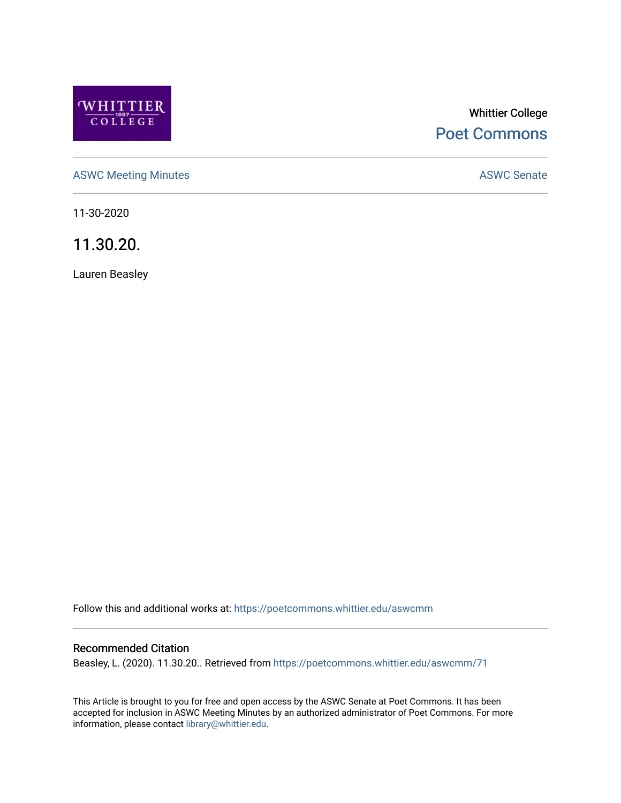

# Whittier College [Poet Commons](https://poetcommons.whittier.edu/)

[ASWC Meeting Minutes](https://poetcommons.whittier.edu/aswcmm) **ASWC Senate** 

11-30-2020

11.30.20.

Lauren Beasley

Follow this and additional works at: [https://poetcommons.whittier.edu/aswcmm](https://poetcommons.whittier.edu/aswcmm?utm_source=poetcommons.whittier.edu%2Faswcmm%2F71&utm_medium=PDF&utm_campaign=PDFCoverPages)

#### Recommended Citation

Beasley, L. (2020). 11.30.20.. Retrieved from [https://poetcommons.whittier.edu/aswcmm/71](https://poetcommons.whittier.edu/aswcmm/71?utm_source=poetcommons.whittier.edu%2Faswcmm%2F71&utm_medium=PDF&utm_campaign=PDFCoverPages)

This Article is brought to you for free and open access by the ASWC Senate at Poet Commons. It has been accepted for inclusion in ASWC Meeting Minutes by an authorized administrator of Poet Commons. For more information, please contact [library@whittier.edu.](mailto:library@whittier.edu)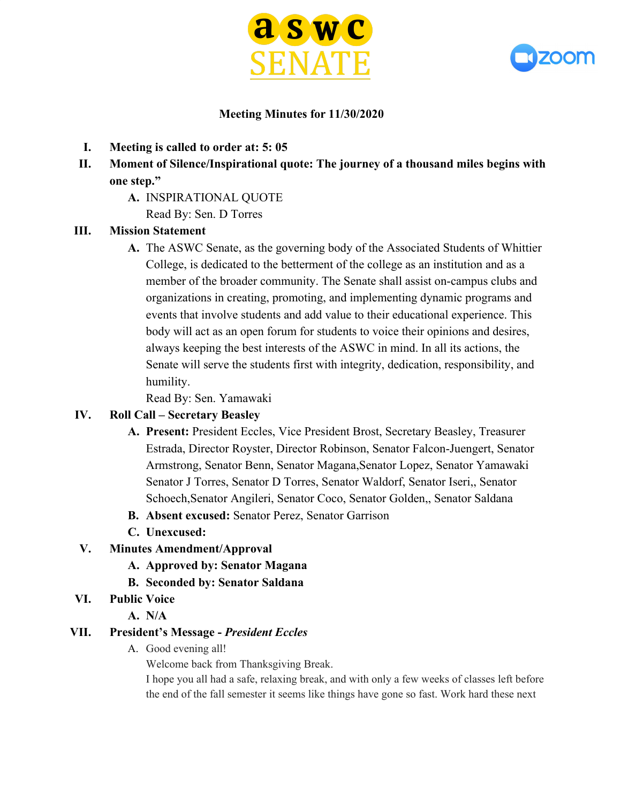



### **Meeting Minutes for 11/30/2020**

- **I. Meeting is called to order at: 5: 05**
- **II. Moment of Silence/Inspirational quote: The journey of a thousand miles begins with one step."**
	- **A.** INSPIRATIONAL QUOTE

Read By: Sen. D Torres

### **III. Mission Statement**

**A.** The ASWC Senate, as the governing body of the Associated Students of Whittier College, is dedicated to the betterment of the college as an institution and as a member of the broader community. The Senate shall assist on-campus clubs and organizations in creating, promoting, and implementing dynamic programs and events that involve students and add value to their educational experience. This body will act as an open forum for students to voice their opinions and desires, always keeping the best interests of the ASWC in mind. In all its actions, the Senate will serve the students first with integrity, dedication, responsibility, and humility.

Read By: Sen. Yamawaki

### **IV. Roll Call – Secretary Beasley**

- **A. Present:** President Eccles, Vice President Brost, Secretary Beasley, Treasurer Estrada, Director Royster, Director Robinson, Senator Falcon-Juengert, Senator Armstrong, Senator Benn, Senator Magana,Senator Lopez, Senator Yamawaki Senator J Torres, Senator D Torres, Senator Waldorf, Senator Iseri,, Senator Schoech,Senator Angileri, Senator Coco, Senator Golden,, Senator Saldana
- **B. Absent excused:** Senator Perez, Senator Garrison
- **C. Unexcused:**
- **V. Minutes Amendment/Approval**
	- **A. Approved by: Senator Magana**
	- **B. Seconded by: Senator Saldana**
- **VI. Public Voice**
	- **A. N/A**

### **VII. President's Message -** *President Eccles*

A. Good evening all!

Welcome back from Thanksgiving Break.

I hope you all had a safe, relaxing break, and with only a few weeks of classes left before the end of the fall semester it seems like things have gone so fast. Work hard these next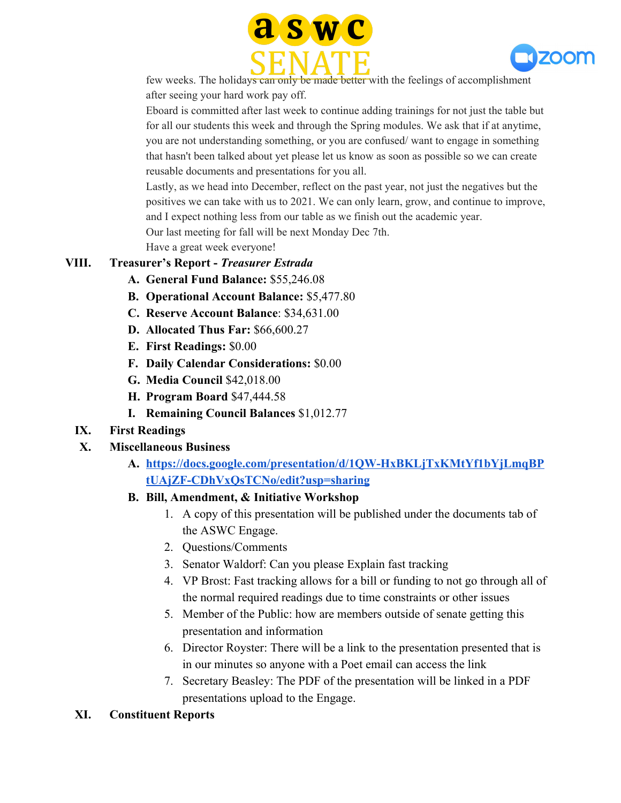



few weeks. The holidays can only be made better with the feelings of accomplishment after seeing your hard work pay off.

Eboard is committed after last week to continue adding trainings for not just the table but for all our students this week and through the Spring modules. We ask that if at anytime, you are not understanding something, or you are confused/ want to engage in something that hasn't been talked about yet please let us know as soon as possible so we can create reusable documents and presentations for you all.

Lastly, as we head into December, reflect on the past year, not just the negatives but the positives we can take with us to 2021. We can only learn, grow, and continue to improve, and I expect nothing less from our table as we finish out the academic year. Our last meeting for fall will be next Monday Dec 7th.

Have a great week everyone!

# **VIII. Treasurer's Report -** *Treasurer Estrada*

- **A. General Fund Balance:** \$55,246.08
- **B. Operational Account Balance:** \$5,477.80
- **C. Reserve Account Balance**: \$34,631.00
- **D. Allocated Thus Far:** \$66,600.27
- **E. First Readings:** \$0.00
- **F. Daily Calendar Considerations:** \$0.00
- **G. Media Council** \$42,018.00
- **H. Program Board** \$47,444.58
- **I. Remaining Council Balances** \$1,012.77

#### **IX. First Readings**

#### **X. Miscellaneous Business**

**A. [https://docs.google.com/presentation/d/1QW-HxBKLjTxKMtYf1bYjLmqBP](https://docs.google.com/presentation/d/1QW-HxBKLjTxKMtYf1bYjLmqBPtUAjZF-CDhVxQsTCNo/edit?usp=sharing) [tUAjZF-CDhVxQsTCNo/edit?usp=sharing](https://docs.google.com/presentation/d/1QW-HxBKLjTxKMtYf1bYjLmqBPtUAjZF-CDhVxQsTCNo/edit?usp=sharing)**

#### **B. Bill, Amendment, & Initiative Workshop**

- 1. A copy of this presentation will be published under the documents tab of the ASWC Engage.
- 2. Questions/Comments
- 3. Senator Waldorf: Can you please Explain fast tracking
- 4. VP Brost: Fast tracking allows for a bill or funding to not go through all of the normal required readings due to time constraints or other issues
- 5. Member of the Public: how are members outside of senate getting this presentation and information
- 6. Director Royster: There will be a link to the presentation presented that is in our minutes so anyone with a Poet email can access the link
- 7. Secretary Beasley: The PDF of the presentation will be linked in a PDF presentations upload to the Engage.

### **XI. Constituent Reports**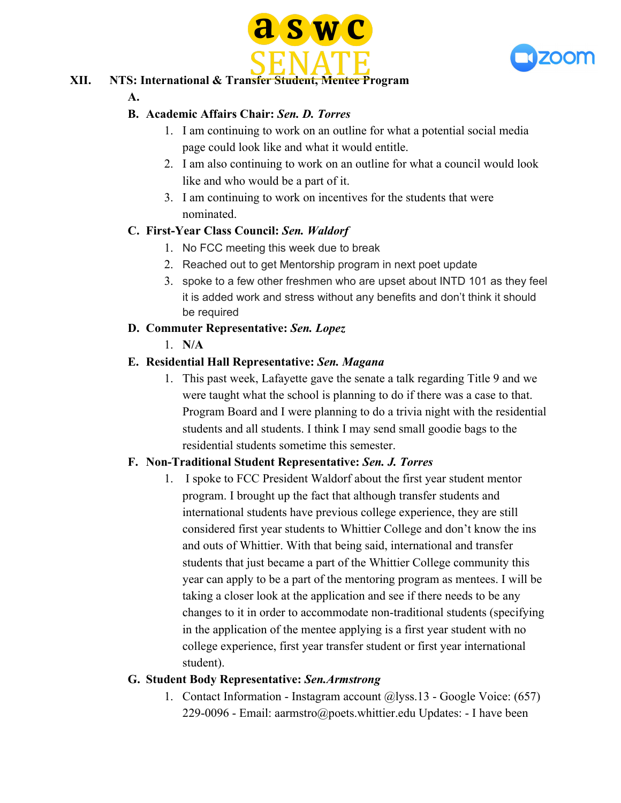



# **XII. NTS: International & Transfer Student, Mentee Program**

#### **A.**

# **B. Academic Affairs Chair:** *Sen. D. Torres*

- 1. I am continuing to work on an outline for what a potential social media page could look like and what it would entitle.
- 2. I am also continuing to work on an outline for what a council would look like and who would be a part of it.
- 3. I am continuing to work on incentives for the students that were nominated.

# **C. First-Year Class Council:** *Sen. Waldorf*

- 1. No FCC meeting this week due to break
- 2. Reached out to get Mentorship program in next poet update
- 3. spoke to a few other freshmen who are upset about INTD 101 as they feel it is added work and stress without any benefits and don't think it should be required

# **D. Commuter Representative:** *Sen. Lopez*

1. **N/A**

# **E. Residential Hall Representative:** *Sen. Magana*

1. This past week, Lafayette gave the senate a talk regarding Title 9 and we were taught what the school is planning to do if there was a case to that. Program Board and I were planning to do a trivia night with the residential students and all students. I think I may send small goodie bags to the residential students sometime this semester.

### **F. Non-Traditional Student Representative:** *Sen. J. Torres*

1. I spoke to FCC President Waldorf about the first year student mentor program. I brought up the fact that although transfer students and international students have previous college experience, they are still considered first year students to Whittier College and don't know the ins and outs of Whittier. With that being said, international and transfer students that just became a part of the Whittier College community this year can apply to be a part of the mentoring program as mentees. I will be taking a closer look at the application and see if there needs to be any changes to it in order to accommodate non-traditional students (specifying in the application of the mentee applying is a first year student with no college experience, first year transfer student or first year international student).

### **G. Student Body Representative:** *Sen.Armstrong*

1. Contact Information - Instagram account @lyss.13 - Google Voice: (657) 229-0096 - Email: aarmstro@poets.whittier.edu Updates: - I have been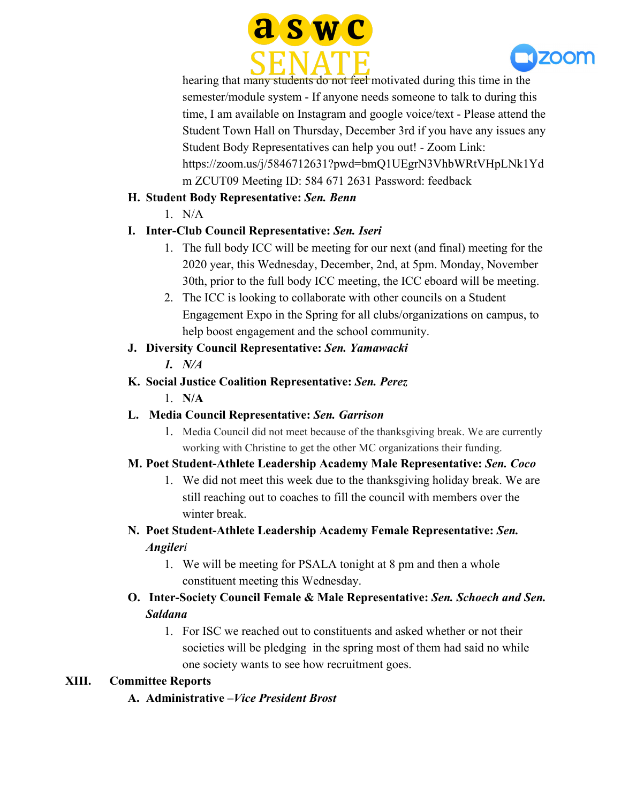



hearing that many students do not feel motivated during this time in the semester/module system - If anyone needs someone to talk to during this time, I am available on Instagram and google voice/text - Please attend the Student Town Hall on Thursday, December 3rd if you have any issues any Student Body Representatives can help you out! - Zoom Link: https://zoom.us/j/5846712631?pwd=bmQ1UEgrN3VhbWRtVHpLNk1Yd m ZCUT09 Meeting ID: 584 671 2631 Password: feedback

## **H. Student Body Representative:** *Sen. Benn*

 $1$  N/A

# **I. Inter-Club Council Representative:** *Sen. Iseri*

- 1. The full body ICC will be meeting for our next (and final) meeting for the 2020 year, this Wednesday, December, 2nd, at 5pm. Monday, November 30th, prior to the full body ICC meeting, the ICC eboard will be meeting.
- 2. The ICC is looking to collaborate with other councils on a Student Engagement Expo in the Spring for all clubs/organizations on campus, to help boost engagement and the school community.

# **J. Diversity Council Representative:** *Sen. Yamawacki*

*1. N/A*

# **K. Social Justice Coalition Representative:** *Sen. Perez*

1. **N/A**

# **L. Media Council Representative:** *Sen. Garrison*

1. Media Council did not meet because of the thanksgiving break. We are currently working with Christine to get the other MC organizations their funding.

# **M. Poet Student-Athlete Leadership Academy Male Representative:** *Sen. Coco*

1. We did not meet this week due to the thanksgiving holiday break. We are still reaching out to coaches to fill the council with members over the winter break.

# **N. Poet Student-Athlete Leadership Academy Female Representative:** *Sen. Angileri*

1. We will be meeting for PSALA tonight at 8 pm and then a whole constituent meeting this Wednesday.

# **O. Inter-Society Council Female & Male Representative:** *Sen. Schoech and Sen. Saldana*

1. For ISC we reached out to constituents and asked whether or not their societies will be pledging in the spring most of them had said no while one society wants to see how recruitment goes.

# **XIII. Committee Reports**

**A. Administrative –***Vice President Brost*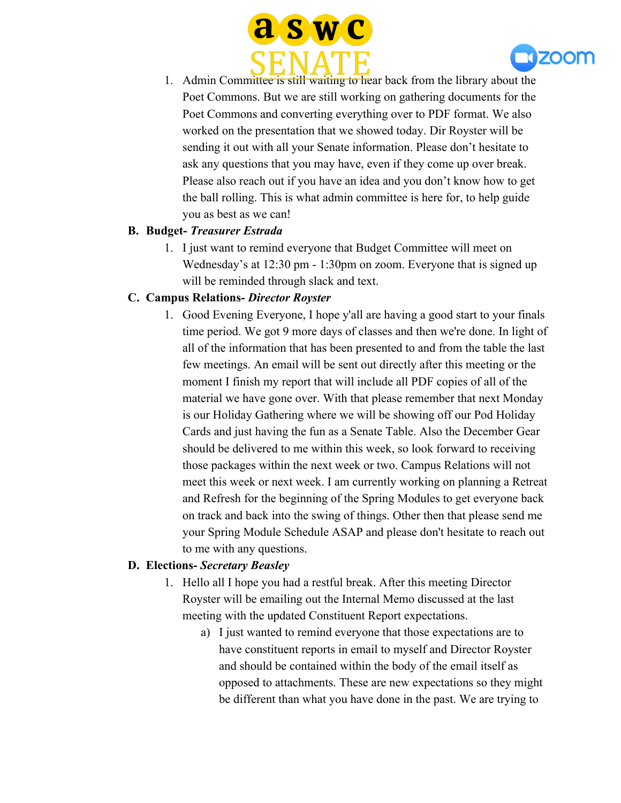



1. Admin Committee is still waiting to hear back from the library about the Poet Commons. But we are still working on gathering documents for the Poet Commons and converting everything over to PDF format. We also worked on the presentation that we showed today. Dir Royster will be sending it out with all your Senate information. Please don't hesitate to ask any questions that you may have, even if they come up over break. Please also reach out if you have an idea and you don't know how to get the ball rolling. This is what admin committee is here for, to help guide you as best as we can!

### **B. Budget-** *Treasurer Estrada*

1. I just want to remind everyone that Budget Committee will meet on Wednesday's at 12:30 pm - 1:30pm on zoom. Everyone that is signed up will be reminded through slack and text.

### **C. Campus Relations-** *Director Royster*

1. Good Evening Everyone, I hope y'all are having a good start to your finals time period. We got 9 more days of classes and then we're done. In light of all of the information that has been presented to and from the table the last few meetings. An email will be sent out directly after this meeting or the moment I finish my report that will include all PDF copies of all of the material we have gone over. With that please remember that next Monday is our Holiday Gathering where we will be showing off our Pod Holiday Cards and just having the fun as a Senate Table. Also the December Gear should be delivered to me within this week, so look forward to receiving those packages within the next week or two. Campus Relations will not meet this week or next week. I am currently working on planning a Retreat and Refresh for the beginning of the Spring Modules to get everyone back on track and back into the swing of things. Other then that please send me your Spring Module Schedule ASAP and please don't hesitate to reach out to me with any questions.

### **D. Elections-** *Secretary Beasley*

- 1. Hello all I hope you had a restful break. After this meeting Director Royster will be emailing out the Internal Memo discussed at the last meeting with the updated Constituent Report expectations.
	- a) I just wanted to remind everyone that those expectations are to have constituent reports in email to myself and Director Royster and should be contained within the body of the email itself as opposed to attachments. These are new expectations so they might be different than what you have done in the past. We are trying to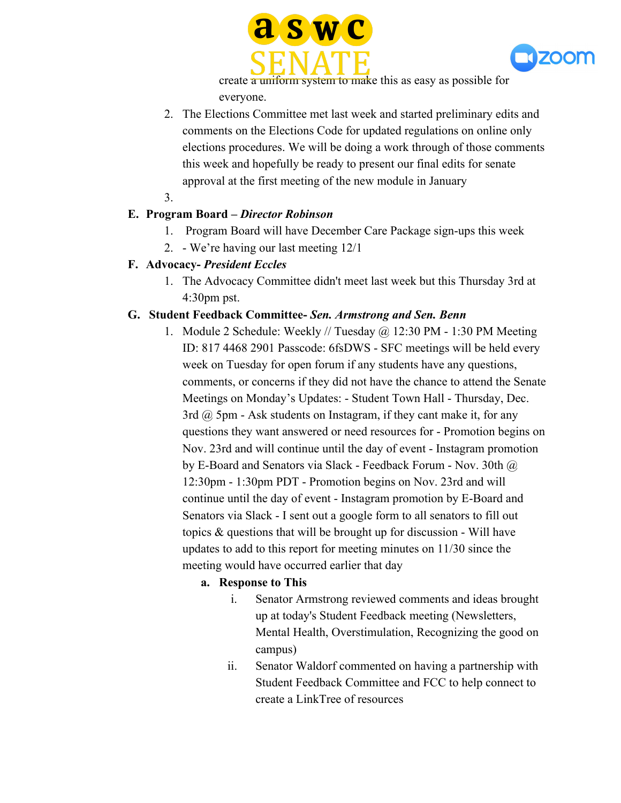



create a uniform system to make this as easy as possible for everyone.

- 2. The Elections Committee met last week and started preliminary edits and comments on the Elections Code for updated regulations on online only elections procedures. We will be doing a work through of those comments this week and hopefully be ready to present our final edits for senate approval at the first meeting of the new module in January
- 3.

### **E. Program Board –** *Director Robinson*

- 1. Program Board will have December Care Package sign-ups this week
- 2. We're having our last meeting 12/1

#### **F. Advocacy-** *President Eccles*

1. The Advocacy Committee didn't meet last week but this Thursday 3rd at 4:30pm pst.

#### **G. Student Feedback Committee-** *Sen. Armstrong and Sen. Benn*

1. Module 2 Schedule: Weekly // Tuesday @ 12:30 PM - 1:30 PM Meeting ID: 817 4468 2901 Passcode: 6fsDWS - SFC meetings will be held every week on Tuesday for open forum if any students have any questions, comments, or concerns if they did not have the chance to attend the Senate Meetings on Monday's Updates: - Student Town Hall - Thursday, Dec. 3rd  $\omega$  5pm - Ask students on Instagram, if they cant make it, for any questions they want answered or need resources for - Promotion begins on Nov. 23rd and will continue until the day of event - Instagram promotion by E-Board and Senators via Slack - Feedback Forum - Nov. 30th @ 12:30pm - 1:30pm PDT - Promotion begins on Nov. 23rd and will continue until the day of event - Instagram promotion by E-Board and Senators via Slack - I sent out a google form to all senators to fill out topics & questions that will be brought up for discussion - Will have updates to add to this report for meeting minutes on 11/30 since the meeting would have occurred earlier that day

### **a. Response to This**

- i. Senator Armstrong reviewed comments and ideas brought up at today's Student Feedback meeting (Newsletters, Mental Health, Overstimulation, Recognizing the good on campus)
- ii. Senator Waldorf commented on having a partnership with Student Feedback Committee and FCC to help connect to create a LinkTree of resources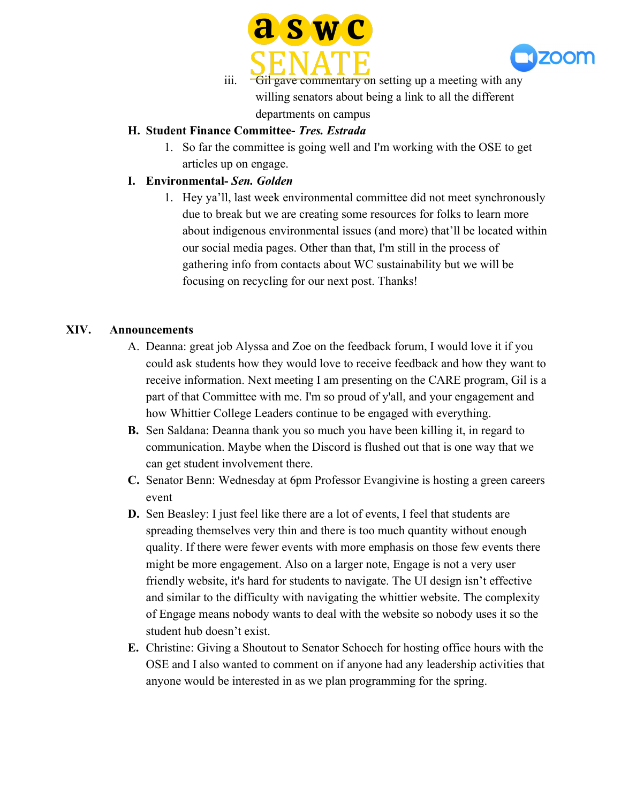



iii. Gil gave commentary on setting up a meeting with any willing senators about being a link to all the different departments on campus

#### **H. Student Finance Committee-** *Tres. Estrada*

1. So far the committee is going well and I'm working with the OSE to get articles up on engage.

#### **I. Environmental-** *Sen. Golden*

1. Hey ya'll, last week environmental committee did not meet synchronously due to break but we are creating some resources for folks to learn more about indigenous environmental issues (and more) that'll be located within our social media pages. Other than that, I'm still in the process of gathering info from contacts about WC sustainability but we will be focusing on recycling for our next post. Thanks!

#### **XIV. Announcements**

- A. Deanna: great job Alyssa and Zoe on the feedback forum, I would love it if you could ask students how they would love to receive feedback and how they want to receive information. Next meeting I am presenting on the CARE program, Gil is a part of that Committee with me. I'm so proud of y'all, and your engagement and how Whittier College Leaders continue to be engaged with everything.
- **B.** Sen Saldana: Deanna thank you so much you have been killing it, in regard to communication. Maybe when the Discord is flushed out that is one way that we can get student involvement there.
- **C.** Senator Benn: Wednesday at 6pm Professor Evangivine is hosting a green careers event
- **D.** Sen Beasley: I just feel like there are a lot of events, I feel that students are spreading themselves very thin and there is too much quantity without enough quality. If there were fewer events with more emphasis on those few events there might be more engagement. Also on a larger note, Engage is not a very user friendly website, it's hard for students to navigate. The UI design isn't effective and similar to the difficulty with navigating the whittier website. The complexity of Engage means nobody wants to deal with the website so nobody uses it so the student hub doesn't exist.
- **E.** Christine: Giving a Shoutout to Senator Schoech for hosting office hours with the OSE and I also wanted to comment on if anyone had any leadership activities that anyone would be interested in as we plan programming for the spring.